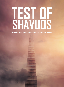# **TEST OF SHAVUOS**

**Drasha from the author of Bilvavi Mishkan Evneh**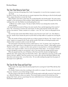### The Test That Returns Each Year

Shavuos is the time of the giving of the Torah. Consequently, it is now the time to prepare to receive the Torah.

In order to 'receive' the Torah each year we can gain inspiration from reflecting on what the Jewish people did to prepare themselves to receive the Torah.

When Hashem came down to Har Sinai, He revealed Himself to the Jewish people. The entire nation trembled at the awesomeness of His revelation. Moshe *Rabbeinu* had to reassure the people that they had nothing to fear, and that Hashem was merely giving them a test.

A difficult test is called a *nisayon*. The days of *Sefiras HaOmer* occur during three months of the Jewish calendar

– the second half of the month of Nissan, the entire month of Iyar, and the beginning of the month of Sivan. The word *Nissan* is rooted in the word *nisayon*. In other words, this first month of the *sefira*s *ha'omer,* the month of Nissan, contains in it a *nisayon* – a test. The "test" is how we will prepare for the Torah.

The word *Iyar* (the month which follows Nissan) comes from the word "*yirah"*, awe. This alludes to how the month of Iyar contains the power of *yirah* which can help enable us to prepare for receiving the Torah.

Thus, the months of Nissan and Iyar both serve to help us prepare for Shavuos. The "*nisayon"* (test) of *Nissan* requires us to prepare for the Torah, and the month of *Iyar* aids us in having the proper *yirah,* which are both necessary in order to receive the Torah.

The word *nisayon* comes from the word *nes*, which means to "run"; if a person "runs" away from the nisayon, he fails to grow from it. Alternatively, the word *nes* also means "miracle," which uplifts a person. The hint of this is that a *nisayon* can either cause a person to run away from it, or become uplifted from it. Thus, every *nisayon* we endure serves as a test of our power of free choice – we can choose to elevate ourselves through the *nisayon* we are presented with, or run away from the message and fail to grow.

When the people heard the voice of Hashem at Har Sinai and all the thunder and lightning that followed, they had a *nisayon.* They were faced with a choice – they could want to run away, or they could choose to become uplifted. Their first reaction was to want to flee; only then did Moshe *Rabbeinu* calm them down and reassure them not to flee in fear. He was really teaching the people that the purpose of this *nisayon* was to uplift them.

## The Test At Har Sinai and Each Year

What exactly is the *nisayon* which the Jewish people faced in receiving the Torah? What did they find so difficult?

The *Mesillas Yesharim* writes that everything in this world is in a *nisayon*. No matter who you are and what your situation is, one is always facing a *nisayon*.

The first *nisayon* at Har Sinai was whether we the Jewish people would really accept the Torah when it was offered by Hashem to them as an option. The second *nisayon* occurred at the actual time of the giving of the Torah and was a much deeper but more subtle kind of test. At this point the Jewish people had already reached the apex of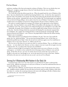#### 2The Test of Shavuos

perfection, standing at Har Sinai and seeing the revelation of Hashem. Their test was whether they were willing and courageous enough choose to hear the Torah directly from the voice of Hashem.

Did they pass the test?

The Torah tells us that they did not pass the test. When the people heard the voice of Hashem at Har Sinai, they were afraid that they would die from hearing Hashem's voice. In their fear, they requested to hear the Torah from Moshe's voice instead. The Vilna *Gaon* teaches that this deviation from listening to Hashem was the seed that ultimately led to the sin of the Golden Calf. The Jewish people were supposed to be on the level of being willing to die in order to hear the voice of Hashem. From this we learn that we actually need to serve Hashem on the level of being prepared to die just to listen to Hashem's voice!

But surely we would be forgiven for wanting to live and give up the opportunity to hear Hashem's voice, rather than hear Hashem's voice and die? What is the problem with choosing to live rather than hear Hashem's voice? The answer is that to live without hearing the voice of Hashem's is not really a life!

Admittedly, the people's fear of Hashem's voice did not signify idol worship. However, the sin lay in the fact that their fear of dying (which they associated with hearing His voice directly) surpassed their love of Hashem. The people's fear of dying led them to settle for hearing the Torah through Moshe instead of directly from Hashem's voice. However, the people failed to realize that life without hearing Hashem's voice is meaningless.

When Adam sinned, he was ashamed in front of Hashem. He said, *"Your voice I hear amidst the garden, but I am afraid and hiding."* [1](#page-2-0) He ran away from hearing Hashem's voice. At Har Sinai, we reached the purified state of Adam before the sin and were tested once again to see if we would listen to Hashem's voice or run in fear. However, we failed to pass the test.

All of us were at Har Sinai, for our souls were there in a previous lifetime. Thus, we all failed to pass that test – we were afraid to die. However, we have a chance every year to pass this test again every year at Shavuos time. Are we ready to die to hear the voice of Hashem?

Before we accept the light of receiving the Torah which returns every year on Shavuos, we are first tested again to see whether we have reached the level of choosing to listen to Hashem's voice and risk dying. At Har Sinai, the test was overt. In contrast, the test of our current day is not as clear to us, though it is the same test. And though we are not on the same level as we were at Har Sinai, Hashem still sends us the same test to each and every one us each year [to see if we will pass].

## Striving For A Relationship With Hashem In Our Daily Life

In practical terms, what is our "test" that returns to us each Shavuos? In order to understand the essence of this difficult test presented to us each year on Shavuos, we must first understand that there are two totally different ways to live life.

When faced with a difficulty, one kind of person will continue to learn Torah and do all the *mitzvos*, visit *tzaddikim* and give *tzedakah*. He may also *daven* by *kevarim* (and even talk to Hashem a little when he is there). In contrast, the second type of person who meets with challenges will talk to Hashem about them all the time, and share with Him all his problems.

<span id="page-2-0"></span>*1 Bereishis 3:10*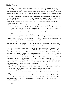#### 3 The Test of Shavuos

The first type of person is missing the point of life. Of course, there is something special in visiting *tzaddikim*. There is certainly a concept of *segulos*, but relying on spiritual charms is not enough!! We need to have a constant relationship with Hashem, including regular interaction and talking to Him, so that when we face a challenge we will naturally talk to Hashem directly, without wanting or thinking we need someone else to do it for us!

When we *daven* to Hashem in *Shemoneh Esrei*, we must realize we are speaking directly with Hashem. We can choose to 'hear His voice' and have direct contact with Him. And this is not just limited to our *Shemonei Esrei*. Our entire life can and should involve Hashem in this way. We should strive to always feel that Hashem is in front of us. As we learn from the *Mesillas Yesharim*, we should talk to Hashem "as a man who talks to his friend."

For instance, imagine that you need something urgently. There is something very specific that you personally can do about it. Talk to Hashem! *Davening* to Hashem is not a "*segulah*." Rather, it should be natural to you. This mindset and practice affects our entire life. *Tefillah* is the art of a Jew, which we received from our ancestors. We can ask and thank Hashem before everything we do.

However, since many of us are unfamiliar with this regular practice, we do not feel that closeness to Hashem.

Therefore, it is only natural that we would be less likely to be prepared to die for Hashem. There is no relationship, so we would be less inclined to sacrifice anything for Him. There has to first be a relationship with Hashem. Only once we have fostered and ignited a close and loving relationship can we ever hope to reach the level of being prepared to give himself up for Him.

Every year, Hashem approaches us on Shavuos and offers to speak to us again so we can hear His voice. The question is – are we prepared to listen to Him? The truth to this question lies deep in your heart. We must try to reach a level whereby we truly should be willing to and want to hear the voice of Hashem.

Of course, if you ask anyone if he wants to hear Hashem's voice, he will respond, "Of course! What spiritual bliss that would be!" But as soon as he told that he will have to give his life for it and die for it, he turns back and runs away. At Har Sinai the people did not want to hear Hashem's voice. Instead they chose to hear the Torah from Moshe. It is harsh to say something like this, but the same thing is likely to happen at the time of the *Moshiach* if one did not develop a strong enough relationship with Hashem. At the time of the *Moshiach*, we are taught that we will learn Torah. But from whom will we hear this Torah from? We will have a choice to hear it either from Hashem directly, or from *Moshiach*.

If someone never spent his life talking with Hashem, then when *Moshiach* comes, he will not be able to suddenly run to go hear Hashem's voice teaching the Torah. He will reject hearing the Torah directly from Hashem Himself, in favor of hearing it from *Moshiach*!

The Sages teach that one must exert himself over the Torah, and must "kill himself in the tents of Torah.["2](#page-3-0) Why it is indeed necessary for us to 'die' for the Torah? On a simple level, this is a euphemism for sacrificing all materialism for the sake of *ruchniyus*, and a greater connection with the Torah. However, on a deeper level, we learn that just as the Jewish people were supposed to die in order to hear Hashem's voice, so must we be prepared to die in order to hear Hashem's speaking to us through the Torah.

And so, the question we must ask ourselves each Shavuos is: Are we prepared to *die* for the Torah?

<span id="page-3-0"></span>Imagine if Hashem came to us again and asked us if we wanted the Torah. Imagine if we heard His voice and felt our souls leaving us, just as the souls of the Jewish people left them with each word of the Torah they heard from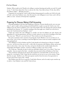#### 4 The Test of Shavuos

Hashem. What would we do? Would we be willing to continue listening and sacrifice our soul? Or would we say, "I don't know about this. I have to ask my wife. Also, I have kids at home. If I die, they will be left without a father." All kinds of excuses….

Preparation for receiving the Torah is really all about being prepared to sacrifice one's life for the sake of Torah and to hear Hashem's voice. And, this must be a true willingness in one's heart, and it will not suffice as a mere utterance of the lips that is superficial.

## Preparing For Shavuos: Making A Self-Accounting

Practically speaking, in the three days leading up to Shavuos, everyone should actively carve out some time of quiet to make a self-accounting and ask himself if he is ready to accept the Torah or not. Is he willing to stay and listen to Hashem's voice at the risk of death? This is the question that each Jew should ask himself every Shavuos: "If I would be standing at Har Sinai right now, would I be on the level to receive the Torah directly from Hashem's voice?"

People may assume that such willingness to sacrifice our lives for Hashem was only relevant and appropriate for previous generations, and that we surely cannot be on the level of standing at Har Sinai. They may react, "What do you want from us?? These words are not for this generation…"

But such an attitude reveals a rejection of receiving the Torah. Whether or not we are there yet, we must at least strive to have a yearning to reach that high level, and we must not remain complacent with a low spiritual level.

This willingness to die for Hashem and His Torah should not be limited just to Shavuos. It should carry over into the rest of the year as well – to life a life of connection with Hashem, all day, and not just when we daven three times a day. Every day, each person should actively consider deeply about his relationship with Hashem, and how much he is willing to sacrifice to get closer to Him.

The Torah says, *"Remember the day in which you stood before Hashem, your G-d, at Horeb."* Don't just remember that you stood at Har Sinai – remember that you stood in front of Hashem at Har Sinai.

These words here will ring true for anyone who searches for a true kind of life. It is the true way to prepare for receiving the Torah. I hope that the words here are not new to you; to the contrary, I hope that they are quite familiar to you. We must separate ourselves from the mores of our generation to become souls of the Creator of the World.

May Hashem merit all of us to accept the Torah before Shavuos, and to be ready to give ourselves up in order to hear Hashem's voice and His Torah, all year.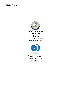

The Rav's classes appear on "Kol haLashon" Torah Bank Service USA 718.521.5231 #2>4>12 Israel 073.295.1245



For Inquiries on "Bilvavi Mishkan Evneh" Contact: 052.763.8588 Email info@bilvavi.net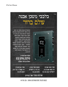## בלבבי משכן אבנה<br>עולם ברור



בס"ד

המאמרים שבאן בספר זה, רובם נערכו מתוך סדרת שיעורים שניתנה במוצאי שבתות בעיר בני ברק. כל שיעור מקיף ומברר נקודה אחת בהלכות דעות וחובות הלבבות. ונותן מבט שורשי ומעשי בדרך הישרה שיבור לו האדם. בחלקו האחרון של הספר מופיעים "מאמרי התקופה" - מתוך שיעורים שנמסרו לאור תקופתנו, וכן שיחה נוגעת לתקופתנו מאת הגה"צ רבי שמשון דוד פינקוס זצ"ל, היוצאת לאור לראשונה.

> הפצה אברומוביץ 03.578.2270 משלוח ברחבי העולם

> > ספרי מאה שערים רח. מאה שערים 15, ירושלים 02.502.2567

הפצת ספרי קודש רח. דוד 2, ירושלים 02.623.0294

ספרי אברומוביץ רח. קוטלר 5, בני ברק 03.579.3829

## סניפים ספרי אור החיים

IN THE USA · SHIRA DISTRIBUTORS 718.871.8652